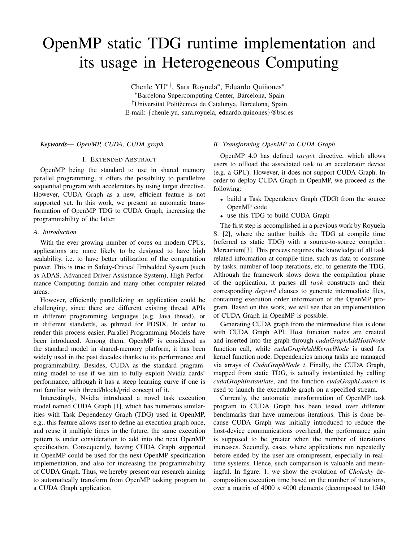# OpenMP static TDG runtime implementation and its usage in Heterogeneous Computing

Chenle YU<sup>∗†</sup>, Sara Royuela<sup>∗</sup>, Eduardo Quiñones<sup>∗</sup> <sup>∗</sup>Barcelona Supercomputing Center, Barcelona, Spain <sup>†</sup>Universitat Politècnica de Catalunya, Barcelona, Spain E-mail: {chenle.yu, sara.royuela, eduardo.quinones}@bsc.es

# *Keywords— OpenMP, CUDA, CUDA graph.*

#### I. EXTENDED ABSTRACT

OpenMP being the standard to use in shared memory parallel programming, it offers the possibility to parallelize sequential program with accelerators by using target directive. However, CUDA Graph as a new, efficient feature is not supported yet. In this work, we present an automatic transformation of OpenMP TDG to CUDA Graph, increasing the programmability of the latter.

#### *A. Introduction*

With the ever growing number of cores on modern CPUs, applications are more likely to be designed to have high scalability, i.e. to have better utilization of the computation power. This is true in Safety-Critical Embedded System (such as ADAS, Advanced Driver Assistance System), High Performance Computing domain and many other computer related areas.

However, efficiently parallelizing an application could be challenging, since there are different existing thread APIs in different programming languages (e.g. Java thread), or in different standards, as pthread for POSIX. In order to render this process easier, Parallel Programming Models have been introduced. Among them, OpenMP is considered as the standard model in shared-memory platform, it has been widely used in the past decades thanks to its performance and programmability. Besides, CUDA as the standard pragramming model to use if we aim to fully exploit Nvidia cards' performance, although it has a steep learning curve if one is not familiar with thread/block/grid concept of it.

Interestingly, Nvidia introduced a novel task execution model named CUDA Graph [1], which has numerous similarities with Task Dependency Graph (TDG) used in OpenMP, e.g., this feature allows user to define an execution graph once, and reuse it multiple times in the future, the same execution pattern is under consideration to add into the next OpenMP specification. Consequently, having CUDA Graph supported in OpenMP could be used for the next OpenMP specification implementation, and also for increasing the programmability of CUDA Graph. Thus, we hereby present our research aiming to automatically transform from OpenMP tasking program to a CUDA Graph application.

# *B. Transforming OpenMP to CUDA Graph*

OpenMP 4.0 has defined target directive, which allows users to offload the associated task to an accelerator device (e.g. a GPU). However, it does not support CUDA Graph. In order to deploy CUDA Graph in OpenMP, we proceed as the following:

- build a Task Dependency Graph (TDG) from the source OpenMP code
- use this TDG to build CUDA Graph

The first step is accomplished in a previous work by Royuela S. [2], where the author builds the TDG at compile time (referred as static TDG) with a source-to-source compiler: Mercurium[3]. This process requires the knowledge of all task related information at compile time, such as data to consume by tasks, number of loop iterations, etc. to generate the TDG. Although the framework slows down the compilation phase of the application, it parses all task constructs and their corresponding *depend* clauses to generate intermediate files, containing execution order information of the OpenMP program. Based on this work, we will see that an implementation of CUDA Graph in OpenMP is possible.

Generating CUDA graph from the intermediate files is done with CUDA Graph API. Host function nodes are created and inserted into the graph through *cudaGraphAddHostNode* function call, while *cudaGraphAddKernelNode* is used for kernel function node. Dependencies among tasks are managed via arrays of *CudaGraphNode t*. Finally, the CUDA Graph, mapped from static TDG, is actually instantiated by calling *cudaGraphInstantiate*, and the function *cudaGraphLaunch* is used to launch the executable graph on a specified stream.

Currently, the automatic transformation of OpenMP task program to CUDA Graph has been tested over different benchmarks that have numerous iterations. This is done because CUDA Graph was initially introduced to reduce the host-device communications overhead, the performance gain is supposed to be greater when the number of iterations increases. Secondly, cases where applications run repeatedly before ended by the user are omnipresent, especially in realtime systems. Hence, such comparison is valuable and meaningful. In figure. 1, we show the evolution of *Cholesky* decomposition execution time based on the number of iterations, over a matrix of 4000 x 4000 elements (decomposed to 1540